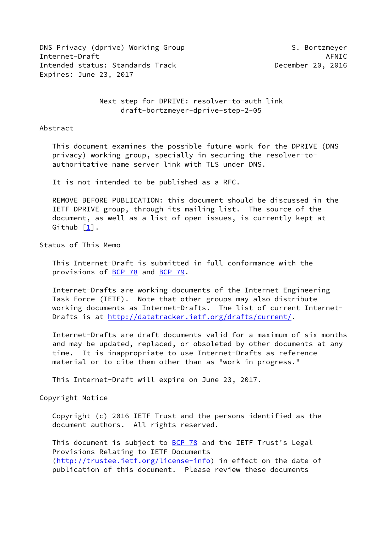DNS Privacy (dprive) Working Group S. Bortzmeyer Internet-Draft AFNIC AFNIC AFRICATION AFRIC Intended status: Standards Track December 20, 2016 Expires: June 23, 2017

 Next step for DPRIVE: resolver-to-auth link draft-bortzmeyer-dprive-step-2-05

Abstract

 This document examines the possible future work for the DPRIVE (DNS privacy) working group, specially in securing the resolver-to authoritative name server link with TLS under DNS.

It is not intended to be published as a RFC.

 REMOVE BEFORE PUBLICATION: this document should be discussed in the IETF DPRIVE group, through its mailing list. The source of the document, as well as a list of open issues, is currently kept at Github [\[1](#page-10-0)].

Status of This Memo

 This Internet-Draft is submitted in full conformance with the provisions of [BCP 78](https://datatracker.ietf.org/doc/pdf/bcp78) and [BCP 79](https://datatracker.ietf.org/doc/pdf/bcp79).

 Internet-Drafts are working documents of the Internet Engineering Task Force (IETF). Note that other groups may also distribute working documents as Internet-Drafts. The list of current Internet- Drafts is at<http://datatracker.ietf.org/drafts/current/>.

 Internet-Drafts are draft documents valid for a maximum of six months and may be updated, replaced, or obsoleted by other documents at any time. It is inappropriate to use Internet-Drafts as reference material or to cite them other than as "work in progress."

This Internet-Draft will expire on June 23, 2017.

Copyright Notice

 Copyright (c) 2016 IETF Trust and the persons identified as the document authors. All rights reserved.

This document is subject to **[BCP 78](https://datatracker.ietf.org/doc/pdf/bcp78)** and the IETF Trust's Legal Provisions Relating to IETF Documents [\(http://trustee.ietf.org/license-info](http://trustee.ietf.org/license-info)) in effect on the date of publication of this document. Please review these documents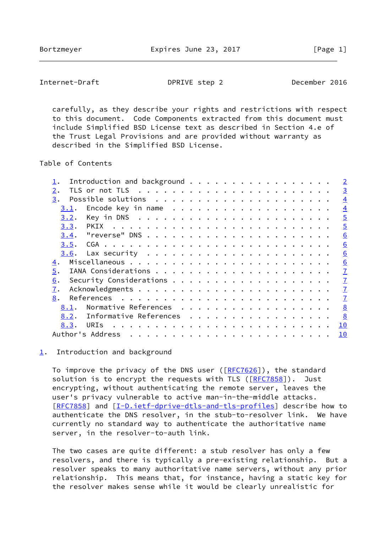<span id="page-1-1"></span>Internet-Draft DPRIVE step 2 December 2016

 carefully, as they describe your rights and restrictions with respect to this document. Code Components extracted from this document must include Simplified BSD License text as described in Section 4.e of the Trust Legal Provisions and are provided without warranty as described in the Simplified BSD License.

Table of Contents

| Introduction and background    | $\overline{2}$ |
|--------------------------------|----------------|
| 2.                             | $\overline{3}$ |
| 3.                             | $\overline{4}$ |
| 3.1.                           | $\overline{4}$ |
| 3.2.                           | $\overline{5}$ |
| 3.3.<br>PKIX                   | $\overline{5}$ |
| 3.4.                           | 6              |
| 3.5.                           | 6              |
| 3.6.                           | 6              |
| 4.                             | 6              |
| 5.                             | $\overline{1}$ |
| 6.                             | $\overline{1}$ |
| 7.                             | $\overline{1}$ |
| 8.                             | $\overline{1}$ |
| Normative References<br>8.1.   | 8              |
| Informative References<br>8.2. | 8              |
| 8.3.<br>URIs                   | 10             |
| Author's Address               | 10             |
|                                |                |

<span id="page-1-0"></span>[1](#page-1-0). Introduction and background

To improve the privacy of the DNS user ([\[RFC7626](https://datatracker.ietf.org/doc/pdf/rfc7626)]), the standard solution is to encrypt the requests with TLS ( $[REC 7858]$ ). Just encrypting, without authenticating the remote server, leaves the user's privacy vulnerable to active man-in-the-middle attacks. [\[RFC7858](https://datatracker.ietf.org/doc/pdf/rfc7858)] and [[I-D.ietf-dprive-dtls-and-tls-profiles\]](#page-8-1) describe how to authenticate the DNS resolver, in the stub-to-resolver link. We have currently no standard way to authenticate the authoritative name server, in the resolver-to-auth link.

 The two cases are quite different: a stub resolver has only a few resolvers, and there is typically a pre-existing relationship. But a resolver speaks to many authoritative name servers, without any prior relationship. This means that, for instance, having a static key for the resolver makes sense while it would be clearly unrealistic for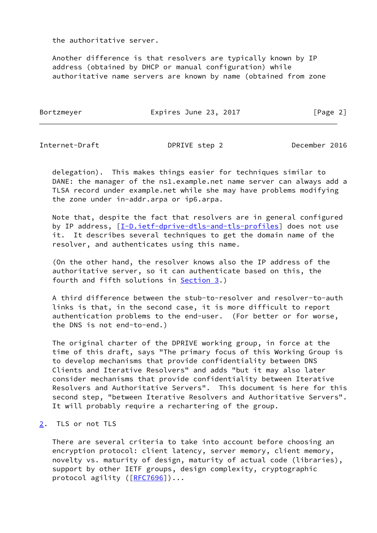the authoritative server.

 Another difference is that resolvers are typically known by IP address (obtained by DHCP or manual configuration) while authoritative name servers are known by name (obtained from zone

Bortzmeyer **Expires June 23, 2017** [Page 2]

<span id="page-2-1"></span>Internet-Draft DPRIVE step 2 December 2016

 delegation). This makes things easier for techniques similar to DANE: the manager of the ns1.example.net name server can always add a TLSA record under example.net while she may have problems modifying the zone under in-addr.arpa or ip6.arpa.

 Note that, despite the fact that resolvers are in general configured by IP address,  $[I-D.iett-dprive-dtls-and-tls-profiles]$  does not use it. It describes several techniques to get the domain name of the resolver, and authenticates using this name.

 (On the other hand, the resolver knows also the IP address of the authoritative server, so it can authenticate based on this, the fourth and fifth solutions in [Section 3.](#page-3-0))

 A third difference between the stub-to-resolver and resolver-to-auth links is that, in the second case, it is more difficult to report authentication problems to the end-user. (For better or for worse, the DNS is not end-to-end.)

 The original charter of the DPRIVE working group, in force at the time of this draft, says "The primary focus of this Working Group is to develop mechanisms that provide confidentiality between DNS Clients and Iterative Resolvers" and adds "but it may also later consider mechanisms that provide confidentiality between Iterative Resolvers and Authoritative Servers". This document is here for this second step, "between Iterative Resolvers and Authoritative Servers". It will probably require a rechartering of the group.

<span id="page-2-0"></span>[2](#page-2-0). TLS or not TLS

 There are several criteria to take into account before choosing an encryption protocol: client latency, server memory, client memory, novelty vs. maturity of design, maturity of actual code (libraries), support by other IETF groups, design complexity, cryptographic protocol agility ([[RFC7696](https://datatracker.ietf.org/doc/pdf/rfc7696)])...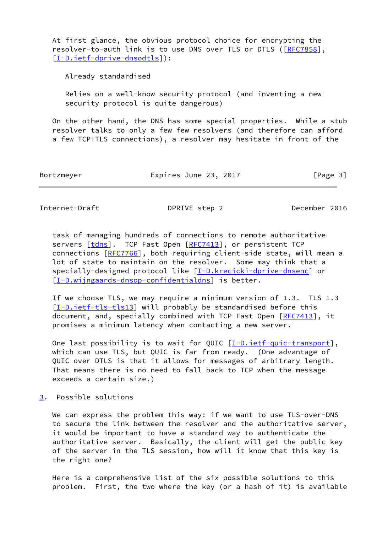At first glance, the obvious protocol choice for encrypting the resolver-to-auth link is to use DNS over TLS or DTLS ([[RFC7858](https://datatracker.ietf.org/doc/pdf/rfc7858)], [\[I-D.ietf-dprive-dnsodtls](#page-9-0)]):

Already standardised

 Relies on a well-know security protocol (and inventing a new security protocol is quite dangerous)

 On the other hand, the DNS has some special properties. While a stub resolver talks to only a few few resolvers (and therefore can afford a few TCP+TLS connections), a resolver may hesitate in front of the

Bortzmeyer Expires June 23, 2017 [Page 3]

<span id="page-3-1"></span>Internet-Draft DPRIVE step 2 December 2016

 task of managing hundreds of connections to remote authoritative servers [\[tdns](#page-10-3)]. TCP Fast Open [\[RFC7413](https://datatracker.ietf.org/doc/pdf/rfc7413)], or persistent TCP connections [\[RFC7766](https://datatracker.ietf.org/doc/pdf/rfc7766)], both requiring client-side state, will mean a lot of state to maintain on the resolver. Some may think that a specially-designed protocol like [\[I-D.krecicki-dprive-dnsenc\]](#page-9-1) or [\[I-D.wijngaards-dnsop-confidentialdns](#page-9-2)] is better.

 If we choose TLS, we may require a minimum version of 1.3. TLS 1.3 [\[I-D.ietf-tls-tls13\]](#page-9-3) will probably be standardised before this document, and, specially combined with TCP Fast Open [\[RFC7413](https://datatracker.ietf.org/doc/pdf/rfc7413)], it promises a minimum latency when contacting a new server.

One last possibility is to wait for QUIC  $[\underline{I-D.ietf-quic-transport}],$  which can use TLS, but QUIC is far from ready. (One advantage of QUIC over DTLS is that it allows for messages of arbitrary length. That means there is no need to fall back to TCP when the message exceeds a certain size.)

<span id="page-3-0"></span>[3](#page-3-0). Possible solutions

We can express the problem this way: if we want to use TLS-over-DNS to secure the link between the resolver and the authoritative server, it would be important to have a standard way to authenticate the authoritative server. Basically, the client will get the public key of the server in the TLS session, how will it know that this key is the right one?

 Here is a comprehensive list of the six possible solutions to this problem. First, the two where the key (or a hash of it) is available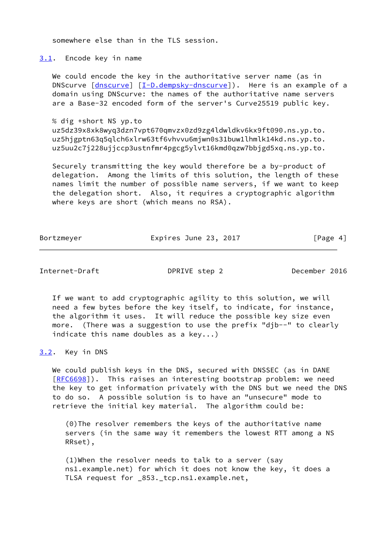somewhere else than in the TLS session.

<span id="page-4-0"></span>[3.1](#page-4-0). Encode key in name

We could encode the key in the authoritative server name (as in DNScurve [\[dnscurve](#page-10-4)] [\[I-D.dempsky-dnscurve](#page-9-5)]). Here is an example of a domain using DNScurve: the names of the authoritative name servers are a Base-32 encoded form of the server's Curve25519 public key.

% dig +short NS yp.to

 uz5dz39x8xk8wyq3dzn7vpt670qmvzx0zd9zg4ldwldkv6kx9ft090.ns.yp.to. uz5hjgptn63q5qlch6xlrw63tf6vhvvu6mjwn0s31buw1lhmlk14kd.ns.yp.to. uz5uu2c7j228ujjccp3ustnfmr4pgcg5ylvt16kmd0qzw7bbjgd5xq.ns.yp.to.

 Securely transmitting the key would therefore be a by-product of delegation. Among the limits of this solution, the length of these names limit the number of possible name servers, if we want to keep the delegation short. Also, it requires a cryptographic algorithm where keys are short (which means no RSA).

Bortzmeyer **Expires June 23, 2017** [Page 4]

<span id="page-4-2"></span>Internet-Draft DPRIVE step 2 December 2016

 If we want to add cryptographic agility to this solution, we will need a few bytes before the key itself, to indicate, for instance, the algorithm it uses. It will reduce the possible key size even more. (There was a suggestion to use the prefix "djb--" to clearly indicate this name doubles as a key...)

<span id="page-4-1"></span>[3.2](#page-4-1). Key in DNS

 We could publish keys in the DNS, secured with DNSSEC (as in DANE [\[RFC6698](https://datatracker.ietf.org/doc/pdf/rfc6698)]). This raises an interesting bootstrap problem: we need the key to get information privately with the DNS but we need the DNS to do so. A possible solution is to have an "unsecure" mode to retrieve the initial key material. The algorithm could be:

 (0)The resolver remembers the keys of the authoritative name servers (in the same way it remembers the lowest RTT among a NS RRset),

 (1)When the resolver needs to talk to a server (say ns1.example.net) for which it does not know the key, it does a TLSA request for \_853.\_tcp.ns1.example.net,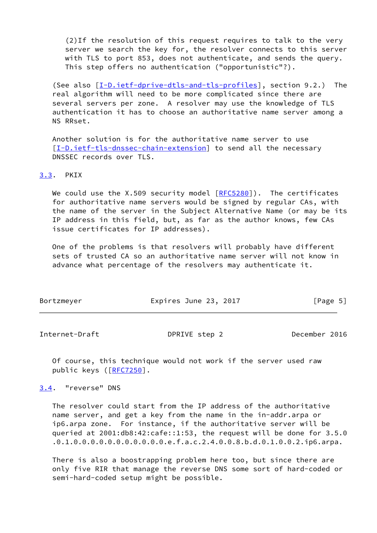(2)If the resolution of this request requires to talk to the very server we search the key for, the resolver connects to this server with TLS to port 853, does not authenticate, and sends the query. This step offers no authentication ("opportunistic"?).

(See also  $[I-D.iett-dprive-dtls-and-tls-profiles]$ , section 9.2.) The real algorithm will need to be more complicated since there are several servers per zone. A resolver may use the knowledge of TLS authentication it has to choose an authoritative name server among a NS RRset.

 Another solution is for the authoritative name server to use [\[I-D.ietf-tls-dnssec-chain-extension](#page-9-6)] to send all the necessary DNSSEC records over TLS.

<span id="page-5-0"></span>[3.3](#page-5-0). PKIX

We could use the X.509 security model  $[REC5280]$ ). The certificates for authoritative name servers would be signed by regular CAs, with the name of the server in the Subject Alternative Name (or may be its IP address in this field, but, as far as the author knows, few CAs issue certificates for IP addresses).

 One of the problems is that resolvers will probably have different sets of trusted CA so an authoritative name server will not know in advance what percentage of the resolvers may authenticate it.

| Bortzmeyer | Expires June 23, 2017 | [Page 5] |
|------------|-----------------------|----------|
|------------|-----------------------|----------|

<span id="page-5-2"></span>Internet-Draft DPRIVE step 2 December 2016

 Of course, this technique would not work if the server used raw public keys ([\[RFC7250](https://datatracker.ietf.org/doc/pdf/rfc7250)].

<span id="page-5-1"></span>[3.4](#page-5-1). "reverse" DNS

 The resolver could start from the IP address of the authoritative name server, and get a key from the name in the in-addr.arpa or ip6.arpa zone. For instance, if the authoritative server will be queried at 2001:db8:42:cafe::1:53, the request will be done for 3.5.0 .0.1.0.0.0.0.0.0.0.0.0.0.0.e.f.a.c.2.4.0.0.8.b.d.0.1.0.0.2.ip6.arpa.

 There is also a boostrapping problem here too, but since there are only five RIR that manage the reverse DNS some sort of hard-coded or semi-hard-coded setup might be possible.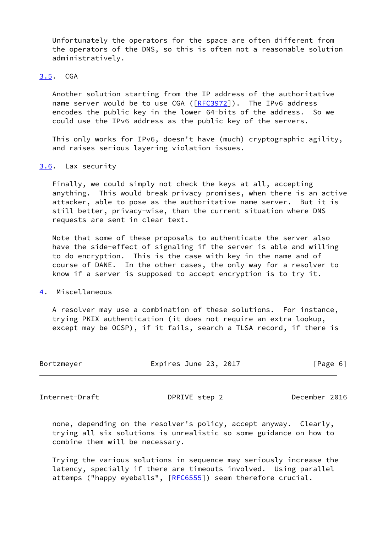Unfortunately the operators for the space are often different from the operators of the DNS, so this is often not a reasonable solution administratively.

## <span id="page-6-0"></span>[3.5](#page-6-0). CGA

 Another solution starting from the IP address of the authoritative name server would be to use CGA ([\[RFC3972](https://datatracker.ietf.org/doc/pdf/rfc3972)]). The IPv6 address encodes the public key in the lower 64-bits of the address. So we could use the IPv6 address as the public key of the servers.

 This only works for IPv6, doesn't have (much) cryptographic agility, and raises serious layering violation issues.

## <span id="page-6-1"></span>[3.6](#page-6-1). Lax security

 Finally, we could simply not check the keys at all, accepting anything. This would break privacy promises, when there is an active attacker, able to pose as the authoritative name server. But it is still better, privacy-wise, than the current situation where DNS requests are sent in clear text.

 Note that some of these proposals to authenticate the server also have the side-effect of signaling if the server is able and willing to do encryption. This is the case with key in the name and of course of DANE. In the other cases, the only way for a resolver to know if a server is supposed to accept encryption is to try it.

## <span id="page-6-2"></span>[4](#page-6-2). Miscellaneous

 A resolver may use a combination of these solutions. For instance, trying PKIX authentication (it does not require an extra lookup, except may be OCSP), if it fails, search a TLSA record, if there is

| Bortzmeyer | Expires June 23, 2017 | [Page 6] |  |
|------------|-----------------------|----------|--|
|            |                       |          |  |

<span id="page-6-3"></span>Internet-Draft DPRIVE step 2 December 2016

 none, depending on the resolver's policy, accept anyway. Clearly, trying all six solutions is unrealistic so some guidance on how to combine them will be necessary.

 Trying the various solutions in sequence may seriously increase the latency, specially if there are timeouts involved. Using parallel attemps ("happy eyeballs", [[RFC6555\]](https://datatracker.ietf.org/doc/pdf/rfc6555)) seem therefore crucial.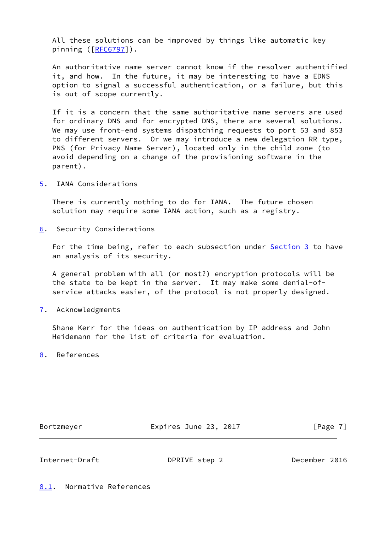All these solutions can be improved by things like automatic key pinning  $([RFC6797])$  $([RFC6797])$  $([RFC6797])$ .

 An authoritative name server cannot know if the resolver authentified it, and how. In the future, it may be interesting to have a EDNS option to signal a successful authentication, or a failure, but this is out of scope currently.

 If it is a concern that the same authoritative name servers are used for ordinary DNS and for encrypted DNS, there are several solutions. We may use front-end systems dispatching requests to port 53 and 853 to different servers. Or we may introduce a new delegation RR type, PNS (for Privacy Name Server), located only in the child zone (to avoid depending on a change of the provisioning software in the parent).

<span id="page-7-0"></span>[5](#page-7-0). IANA Considerations

 There is currently nothing to do for IANA. The future chosen solution may require some IANA action, such as a registry.

<span id="page-7-1"></span>[6](#page-7-1). Security Considerations

For the time being, refer to each subsection under **Section 3** to have an analysis of its security.

 A general problem with all (or most?) encryption protocols will be the state to be kept in the server. It may make some denial-of service attacks easier, of the protocol is not properly designed.

<span id="page-7-2"></span>[7](#page-7-2). Acknowledgments

 Shane Kerr for the ideas on authentication by IP address and John Heidemann for the list of criteria for evaluation.

<span id="page-7-3"></span>[8](#page-7-3). References

Bortzmeyer **Expires June 23, 2017** [Page 7]

<span id="page-7-5"></span>Internet-Draft DPRIVE step 2 December 2016

<span id="page-7-4"></span>[8.1](#page-7-4). Normative References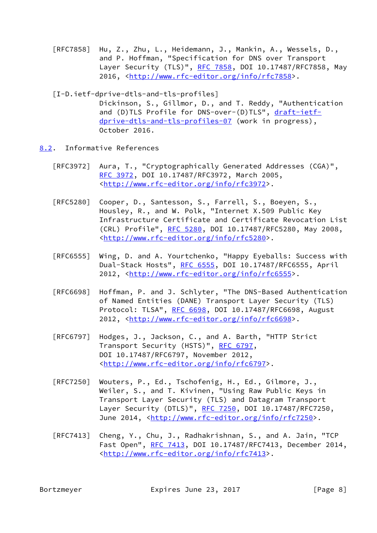- [RFC7858] Hu, Z., Zhu, L., Heidemann, J., Mankin, A., Wessels, D., and P. Hoffman, "Specification for DNS over Transport Layer Security (TLS)", [RFC 7858](https://datatracker.ietf.org/doc/pdf/rfc7858), DOI 10.17487/RFC7858, May 2016, [<http://www.rfc-editor.org/info/rfc7858](http://www.rfc-editor.org/info/rfc7858)>.
- <span id="page-8-1"></span> [I-D.ietf-dprive-dtls-and-tls-profiles] Dickinson, S., Gillmor, D., and T. Reddy, "Authentication and (D)TLS Profile for DNS-over-(D)TLS", [draft-ietf](https://datatracker.ietf.org/doc/pdf/draft-ietf-dprive-dtls-and-tls-profiles-07) [dprive-dtls-and-tls-profiles-07](https://datatracker.ietf.org/doc/pdf/draft-ietf-dprive-dtls-and-tls-profiles-07) (work in progress), October 2016.
- <span id="page-8-0"></span>[8.2](#page-8-0). Informative References
	- [RFC3972] Aura, T., "Cryptographically Generated Addresses (CGA)", [RFC 3972,](https://datatracker.ietf.org/doc/pdf/rfc3972) DOI 10.17487/RFC3972, March 2005, <<http://www.rfc-editor.org/info/rfc3972>>.
	- [RFC5280] Cooper, D., Santesson, S., Farrell, S., Boeyen, S., Housley, R., and W. Polk, "Internet X.509 Public Key Infrastructure Certificate and Certificate Revocation List (CRL) Profile", [RFC 5280,](https://datatracker.ietf.org/doc/pdf/rfc5280) DOI 10.17487/RFC5280, May 2008, <<http://www.rfc-editor.org/info/rfc5280>>.
	- [RFC6555] Wing, D. and A. Yourtchenko, "Happy Eyeballs: Success with Dual-Stack Hosts", [RFC 6555](https://datatracker.ietf.org/doc/pdf/rfc6555), DOI 10.17487/RFC6555, April 2012, [<http://www.rfc-editor.org/info/rfc6555](http://www.rfc-editor.org/info/rfc6555)>.
	- [RFC6698] Hoffman, P. and J. Schlyter, "The DNS-Based Authentication of Named Entities (DANE) Transport Layer Security (TLS) Protocol: TLSA", [RFC 6698,](https://datatracker.ietf.org/doc/pdf/rfc6698) DOI 10.17487/RFC6698, August 2012, [<http://www.rfc-editor.org/info/rfc6698](http://www.rfc-editor.org/info/rfc6698)>.
	- [RFC6797] Hodges, J., Jackson, C., and A. Barth, "HTTP Strict Transport Security (HSTS)", [RFC 6797,](https://datatracker.ietf.org/doc/pdf/rfc6797) DOI 10.17487/RFC6797, November 2012, <<http://www.rfc-editor.org/info/rfc6797>>.
	- [RFC7250] Wouters, P., Ed., Tschofenig, H., Ed., Gilmore, J., Weiler, S., and T. Kivinen, "Using Raw Public Keys in Transport Layer Security (TLS) and Datagram Transport Layer Security (DTLS)", [RFC 7250,](https://datatracker.ietf.org/doc/pdf/rfc7250) DOI 10.17487/RFC7250, June 2014, <<http://www.rfc-editor.org/info/rfc7250>>.
	- [RFC7413] Cheng, Y., Chu, J., Radhakrishnan, S., and A. Jain, "TCP Fast Open", [RFC 7413,](https://datatracker.ietf.org/doc/pdf/rfc7413) DOI 10.17487/RFC7413, December 2014, <<http://www.rfc-editor.org/info/rfc7413>>.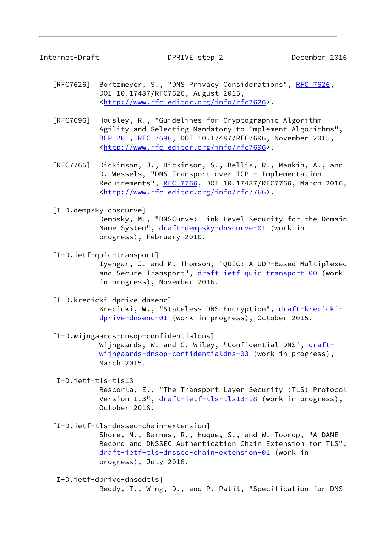Internet-Draft DPRIVE step 2 December 2016

- [RFC7626] Bortzmeyer, S., "DNS Privacy Considerations", [RFC 7626](https://datatracker.ietf.org/doc/pdf/rfc7626), DOI 10.17487/RFC7626, August 2015, <<http://www.rfc-editor.org/info/rfc7626>>.
- [RFC7696] Housley, R., "Guidelines for Cryptographic Algorithm Agility and Selecting Mandatory-to-Implement Algorithms", [BCP 201](https://datatracker.ietf.org/doc/pdf/bcp201), [RFC 7696,](https://datatracker.ietf.org/doc/pdf/rfc7696) DOI 10.17487/RFC7696, November 2015, <<http://www.rfc-editor.org/info/rfc7696>>.
- [RFC7766] Dickinson, J., Dickinson, S., Bellis, R., Mankin, A., and D. Wessels, "DNS Transport over TCP - Implementation Requirements", [RFC 7766](https://datatracker.ietf.org/doc/pdf/rfc7766), DOI 10.17487/RFC7766, March 2016, <<http://www.rfc-editor.org/info/rfc7766>>.
- <span id="page-9-5"></span>[I-D.dempsky-dnscurve]

 Dempsky, M., "DNSCurve: Link-Level Security for the Domain Name System", [draft-dempsky-dnscurve-01](https://datatracker.ietf.org/doc/pdf/draft-dempsky-dnscurve-01) (work in progress), February 2010.

<span id="page-9-4"></span>[I-D.ietf-quic-transport]

 Iyengar, J. and M. Thomson, "QUIC: A UDP-Based Multiplexed and Secure Transport", [draft-ietf-quic-transport-00](https://datatracker.ietf.org/doc/pdf/draft-ietf-quic-transport-00) (work in progress), November 2016.

- <span id="page-9-1"></span> [I-D.krecicki-dprive-dnsenc] Krecicki, W., "Stateless DNS Encryption", [draft-krecicki](https://datatracker.ietf.org/doc/pdf/draft-krecicki-dprive-dnsenc-01) [dprive-dnsenc-01](https://datatracker.ietf.org/doc/pdf/draft-krecicki-dprive-dnsenc-01) (work in progress), October 2015.
- <span id="page-9-2"></span>[I-D.wijngaards-dnsop-confidentialdns]

Wijngaards, W. and G. Wiley, "Confidential DNS", [draft](https://datatracker.ietf.org/doc/pdf/draft-wijngaards-dnsop-confidentialdns-03) [wijngaards-dnsop-confidentialdns-03](https://datatracker.ietf.org/doc/pdf/draft-wijngaards-dnsop-confidentialdns-03) (work in progress), March 2015.

<span id="page-9-3"></span>[I-D.ietf-tls-tls13]

 Rescorla, E., "The Transport Layer Security (TLS) Protocol Version 1.3", [draft-ietf-tls-tls13-18](https://datatracker.ietf.org/doc/pdf/draft-ietf-tls-tls13-18) (work in progress), October 2016.

<span id="page-9-6"></span>[I-D.ietf-tls-dnssec-chain-extension]

 Shore, M., Barnes, R., Huque, S., and W. Toorop, "A DANE Record and DNSSEC Authentication Chain Extension for TLS", [draft-ietf-tls-dnssec-chain-extension-01](https://datatracker.ietf.org/doc/pdf/draft-ietf-tls-dnssec-chain-extension-01) (work in progress), July 2016.

<span id="page-9-0"></span> [I-D.ietf-dprive-dnsodtls] Reddy, T., Wing, D., and P. Patil, "Specification for DNS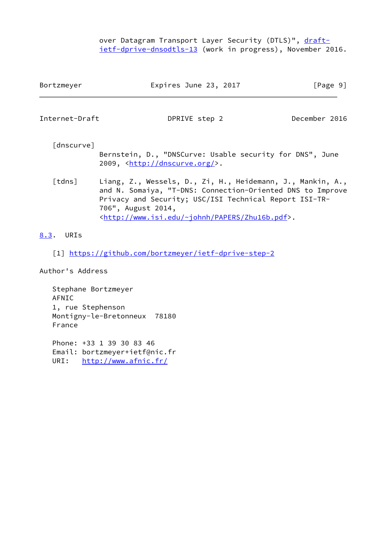over Datagram Transport Layer Security (DTLS)", [draft](https://datatracker.ietf.org/doc/pdf/draft-ietf-dprive-dnsodtls-13) [ietf-dprive-dnsodtls-13](https://datatracker.ietf.org/doc/pdf/draft-ietf-dprive-dnsodtls-13) (work in progress), November 2016.

<span id="page-10-4"></span><span id="page-10-2"></span>

| Bortzmeyer             | Expires June 23, 2017                                                                                                                                                                                                                                                         | [Page 9]      |
|------------------------|-------------------------------------------------------------------------------------------------------------------------------------------------------------------------------------------------------------------------------------------------------------------------------|---------------|
| Internet-Draft         | DPRIVE step 2                                                                                                                                                                                                                                                                 | December 2016 |
| [dnscurve]             | Bernstein, D., "DNSCurve: Usable security for DNS", June<br>2009, <http: dnscurve.org=""></http:> .                                                                                                                                                                           |               |
| $\lceil$ tdns $\rceil$ | Liang, Z., Wessels, D., Zi, H., Heidemann, J., Mankin, A.,<br>and N. Somaiya, "T-DNS: Connection-Oriented DNS to Improve<br>Privacy and Security; USC/ISI Technical Report ISI-TR-<br>706", August 2014,<br><http: papers="" www.isi.edu="" zhu16b.pdf="" ~johnh="">.</http:> |               |

## <span id="page-10-3"></span><span id="page-10-1"></span>[8.3](#page-10-1). URIs

<span id="page-10-0"></span>[1] <https://github.com/bortzmeyer/ietf-dprive-step-2>

Author's Address

 Stephane Bortzmeyer AFNIC 1, rue Stephenson Montigny-le-Bretonneux 78180 France

 Phone: +33 1 39 30 83 46 Email: bortzmeyer+ietf@nic.fr URI: <http://www.afnic.fr/>